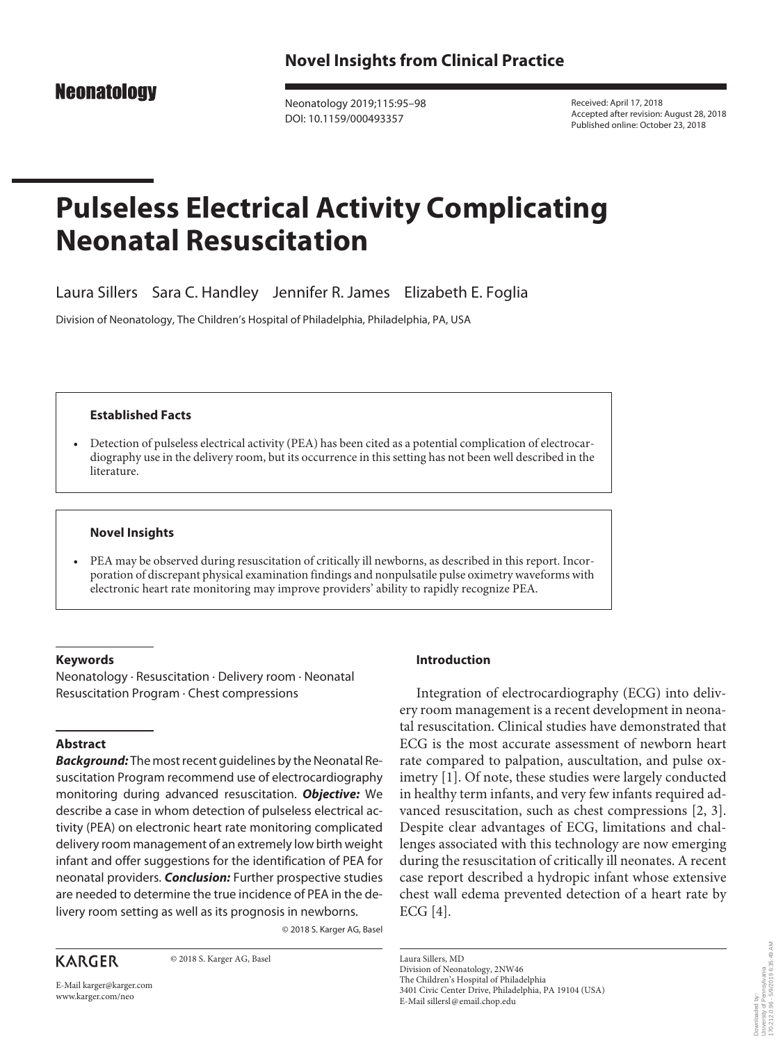# **Neonatology**

Neonatology 2019;115:95–98 DOI: 10.1159/000493357

Received: April 17, 2018 Accepted after revision: August 28, 2018 Published online: October 23, 2018

# **Pulseless Electrical Activity Complicating Neonatal Resuscitation**

Laura Sillers Sara C. Handley Jennifer R. James Elizabeth E. Foglia

Division of Neonatology, The Children's Hospital of Philadelphia, Philadelphia, PA, USA

# **Established Facts**

• Detection of pulseless electrical activity (PEA) has been cited as a potential complication of electrocardiography use in the delivery room, but its occurrence in this setting has not been well described in the literature.

# **Novel Insights**

• PEA may be observed during resuscitation of critically ill newborns, as described in this report. Incorporation of discrepant physical examination findings and nonpulsatile pulse oximetry waveforms with electronic heart rate monitoring may improve providers' ability to rapidly recognize PEA.

# **Keywords**

Neonatology · Resuscitation · Delivery room · Neonatal Resuscitation Program · Chest compressions

# **Abstract**

*Background:* The most recent guidelines by the Neonatal Resuscitation Program recommend use of electrocardiography monitoring during advanced resuscitation. *Objective:* We describe a case in whom detection of pulseless electrical activity (PEA) on electronic heart rate monitoring complicated delivery room management of an extremely low birth weight infant and offer suggestions for the identification of PEA for neonatal providers. *Conclusion:* Further prospective studies are needed to determine the true incidence of PEA in the delivery room setting as well as its prognosis in newborns.

© 2018 S. Karger AG, Basel

**KARGER** 

E-Mail karger@karger.com www.karger.com/neo

© 2018 S. Karger AG, Basel

**Introduction**

Integration of electrocardiography (ECG) into delivery room management is a recent development in neonatal resuscitation. Clinical studies have demonstrated that ECG is the most accurate assessment of newborn heart rate compared to palpation, auscultation, and pulse oximetry [\[1\]](#page-2-0). Of note, these studies were largely conducted in healthy term infants, and very few infants required advanced resuscitation, such as chest compressions [\[2](#page-2-1), [3](#page-3-0)]. Despite clear advantages of ECG, limitations and challenges associated with this technology are now emerging during the resuscitation of critically ill neonates. A recent case report described a hydropic infant whose extensive chest wall edema prevented detection of a heart rate by ECG [[4](#page-3-1)].

> Downloaded by: University of Pennsylvania 170.212.0.96 - 5/9/2019 6:35:49 AM

Downloaded by:<br>University of Pennsylvania<br>170.212.0.96 - 5/9/2019 6:35:49 AM

Laura Sillers, MD Division of Neonatology, 2NW46 The Children's Hospital of Philadelphia 3401 Civic Center Drive, Philadelphia, PA 19104 (USA) E-Mail sillersl@email.chop.edu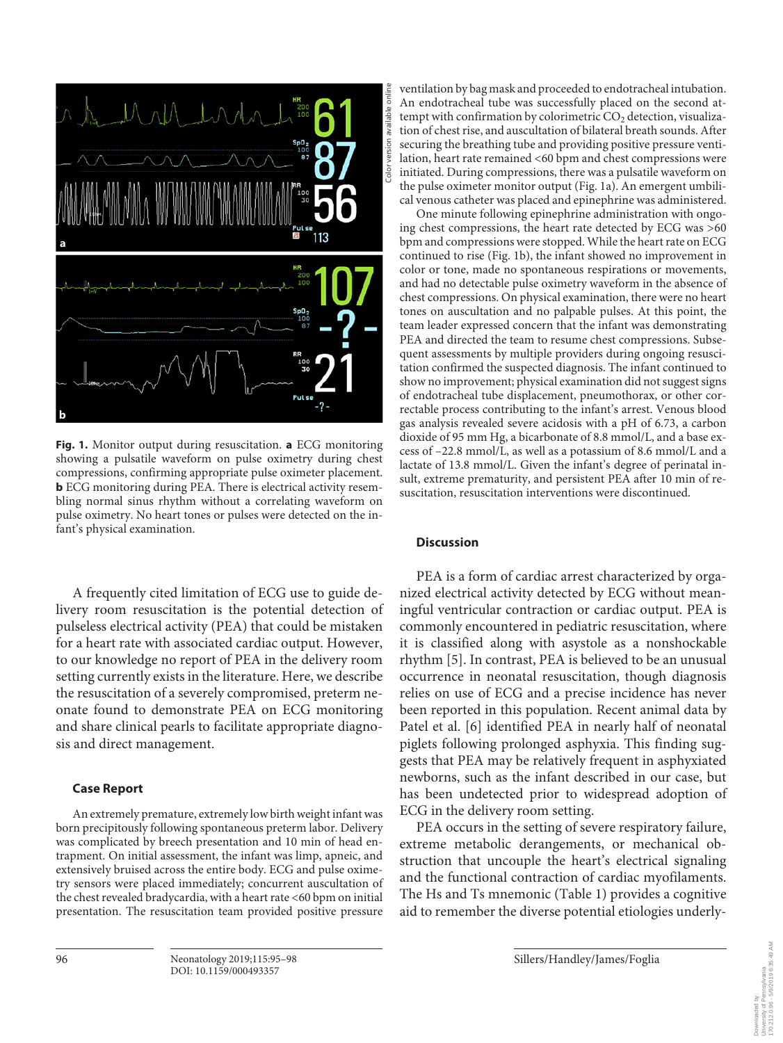

**Fig. 1.** Monitor output during resuscitation. **a** ECG monitoring showing a pulsatile waveform on pulse oximetry during chest compressions, confirming appropriate pulse oximeter placement. **b** ECG monitoring during PEA. There is electrical activity resembling normal sinus rhythm without a correlating waveform on pulse oximetry. No heart tones or pulses were detected on the infant's physical examination.

A frequently cited limitation of ECG use to guide delivery room resuscitation is the potential detection of pulseless electrical activity (PEA) that could be mistaken for a heart rate with associated cardiac output. However, to our knowledge no report of PEA in the delivery room setting currently exists in the literature. Here, we describe the resuscitation of a severely compromised, preterm neonate found to demonstrate PEA on ECG monitoring and share clinical pearls to facilitate appropriate diagnosis and direct management.

### **Case Report**

An extremely premature, extremely low birth weight infant was born precipitously following spontaneous preterm labor. Delivery was complicated by breech presentation and 10 min of head entrapment. On initial assessment, the infant was limp, apneic, and extensively bruised across the entire body. ECG and pulse oximetry sensors were placed immediately; concurrent auscultation of the chest revealed bradycardia, with a heart rate <60 bpm on initial presentation. The resuscitation team provided positive pressure

ventilation by bag mask and proceeded to endotracheal intubation. An endotracheal tube was successfully placed on the second attempt with confirmation by colorimetric  $CO<sub>2</sub>$  detection, visualization of chest rise, and auscultation of bilateral breath sounds. After securing the breathing tube and providing positive pressure ventilation, heart rate remained <60 bpm and chest compressions were initiated. During compressions, there was a pulsatile waveform on the pulse oximeter monitor output (Fig. 1a). An emergent umbilical venous catheter was placed and epinephrine was administered.

One minute following epinephrine administration with ongoing chest compressions, the heart rate detected by ECG was >60 bpm and compressions were stopped. While the heart rate on ECG continued to rise (Fig. 1b), the infant showed no improvement in color or tone, made no spontaneous respirations or movements, and had no detectable pulse oximetry waveform in the absence of chest compressions. On physical examination, there were no heart tones on auscultation and no palpable pulses. At this point, the team leader expressed concern that the infant was demonstrating PEA and directed the team to resume chest compressions. Subsequent assessments by multiple providers during ongoing resuscitation confirmed the suspected diagnosis. The infant continued to show no improvement; physical examination did not suggest signs of endotracheal tube displacement, pneumothorax, or other correctable process contributing to the infant's arrest. Venous blood gas analysis revealed severe acidosis with a pH of 6.73, a carbon dioxide of 95 mm Hg, a bicarbonate of 8.8 mmol/L, and a base excess of –22.8 mmol/L, as well as a potassium of 8.6 mmol/L and a lactate of 13.8 mmol/L. Given the infant's degree of perinatal insult, extreme prematurity, and persistent PEA after 10 min of resuscitation, resuscitation interventions were discontinued.

#### **Discussion**

PEA is a form of cardiac arrest characterized by organized electrical activity detected by ECG without meaningful ventricular contraction or cardiac output. PEA is commonly encountered in pediatric resuscitation, where it is classified along with asystole as a nonshockable rhythm [\[5\]](#page-3-2). In contrast, PEA is believed to be an unusual occurrence in neonatal resuscitation, though diagnosis relies on use of ECG and a precise incidence has never been reported in this population. Recent animal data by Patel et al. [[6](#page-3-3)] identified PEA in nearly half of neonatal piglets following prolonged asphyxia. This finding suggests that PEA may be relatively frequent in asphyxiated newborns, such as the infant described in our case, but has been undetected prior to widespread adoption of ECG in the delivery room setting.

PEA occurs in the setting of severe respiratory failure, extreme metabolic derangements, or mechanical obstruction that uncouple the heart's electrical signaling and the functional contraction of cardiac myofilaments. The Hs and Ts mnemonic (Table 1) provides a cognitive aid to remember the diverse potential etiologies underly-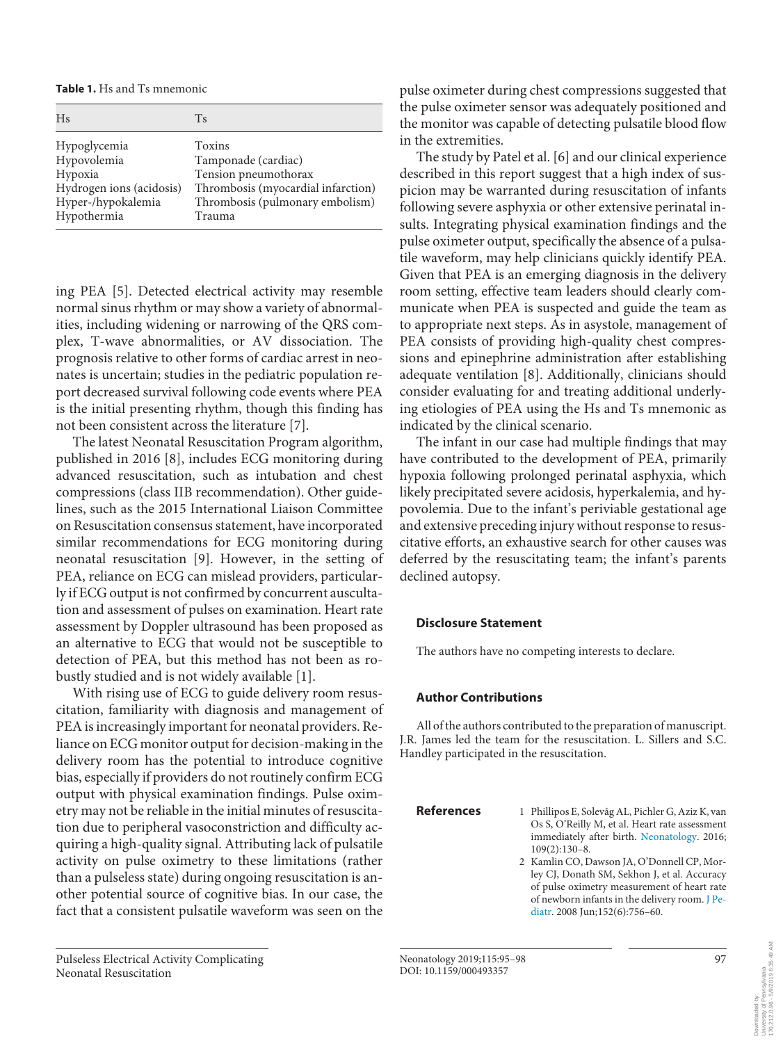**Table 1.** Hs and Ts mnemonic

| Hs                       | Ts                                 |
|--------------------------|------------------------------------|
| Hypoglycemia             | Toxins                             |
| Hypovolemia              | Tamponade (cardiac)                |
| Hypoxia                  | Tension pneumothorax               |
| Hydrogen ions (acidosis) | Thrombosis (myocardial infarction) |
| Hyper-/hypokalemia       | Thrombosis (pulmonary embolism)    |
| Hypothermia              | Trauma                             |

ing PEA [\[5](#page-3-2)]. Detected electrical activity may resemble normal sinus rhythm or may show a variety of abnormalities, including widening or narrowing of the QRS complex, T-wave abnormalities, or AV dissociation. The prognosis relative to other forms of cardiac arrest in neonates is uncertain; studies in the pediatric population report decreased survival following code events where PEA is the initial presenting rhythm, though this finding has not been consistent across the literature [[7\]](#page-3-4).

The latest Neonatal Resuscitation Program algorithm, published in 2016 [[8](#page-3-5)], includes ECG monitoring during advanced resuscitation, such as intubation and chest compressions (class IIB recommendation). Other guidelines, such as the 2015 International Liaison Committee on Resuscitation consensus statement, have incorporated similar recommendations for ECG monitoring during neonatal resuscitation [[9](#page-3-6)]. However, in the setting of PEA, reliance on ECG can mislead providers, particularly if ECG output is not confirmed by concurrent auscultation and assessment of pulses on examination. Heart rate assessment by Doppler ultrasound has been proposed as an alternative to ECG that would not be susceptible to detection of PEA, but this method has not been as robustly studied and is not widely available [[1\]](#page-2-0).

With rising use of ECG to guide delivery room resuscitation, familiarity with diagnosis and management of PEA is increasingly important for neonatal providers. Reliance on ECG monitor output for decision-making in the delivery room has the potential to introduce cognitive bias, especially if providers do not routinely confirm ECG output with physical examination findings. Pulse oximetry may not be reliable in the initial minutes of resuscitation due to peripheral vasoconstriction and difficulty acquiring a high-quality signal. Attributing lack of pulsatile activity on pulse oximetry to these limitations (rather than a pulseless state) during ongoing resuscitation is another potential source of cognitive bias. In our case, the fact that a consistent pulsatile waveform was seen on the

Pulseless Electrical Activity Complicating Neonatal Resuscitation

pulse oximeter during chest compressions suggested that the pulse oximeter sensor was adequately positioned and the monitor was capable of detecting pulsatile blood flow in the extremities.

The study by Patel et al. [[6\]](#page-3-3) and our clinical experience described in this report suggest that a high index of suspicion may be warranted during resuscitation of infants following severe asphyxia or other extensive perinatal insults. Integrating physical examination findings and the pulse oximeter output, specifically the absence of a pulsatile waveform, may help clinicians quickly identify PEA. Given that PEA is an emerging diagnosis in the delivery room setting, effective team leaders should clearly communicate when PEA is suspected and guide the team as to appropriate next steps. As in asystole, management of PEA consists of providing high-quality chest compressions and epinephrine administration after establishing adequate ventilation [[8\]](#page-3-5). Additionally, clinicians should consider evaluating for and treating additional underlying etiologies of PEA using the Hs and Ts mnemonic as indicated by the clinical scenario.

The infant in our case had multiple findings that may have contributed to the development of PEA, primarily hypoxia following prolonged perinatal asphyxia, which likely precipitated severe acidosis, hyperkalemia, and hypovolemia. Due to the infant's periviable gestational age and extensive preceding injury without response to resuscitative efforts, an exhaustive search for other causes was deferred by the resuscitating team; the infant's parents declined autopsy.

# **Disclosure Statement**

The authors have no competing interests to declare.

### **Author Contributions**

All of the authors contributed to the preparation of manuscript. J.R. James led the team for the resuscitation. L. Sillers and S.C. Handley participated in the resuscitation.

<span id="page-2-1"></span>

- <span id="page-2-0"></span>**References** 1 Phillipos E, Solevåg AL, Pichler G, Aziz K, van Os S, O'Reilly M, et al. Heart rate assessment immediately after birth. [Neonatology](https://www.karger.com/Article/FullText/493357?ref=1#ref1). 2016; 109(2):130–8.
	- 2 Kamlin CO, Dawson JA, O'Donnell CP, Morley CJ, Donath SM, Sekhon J, et al. Accuracy of pulse oximetry measurement of heart rate of newborn infants in the delivery room. [J Pe](https://www.karger.com/Article/FullText/493357?ref=2#ref2)[diatr.](https://www.karger.com/Article/FullText/493357?ref=2#ref2) 2008 Jun;152(6):756–60.